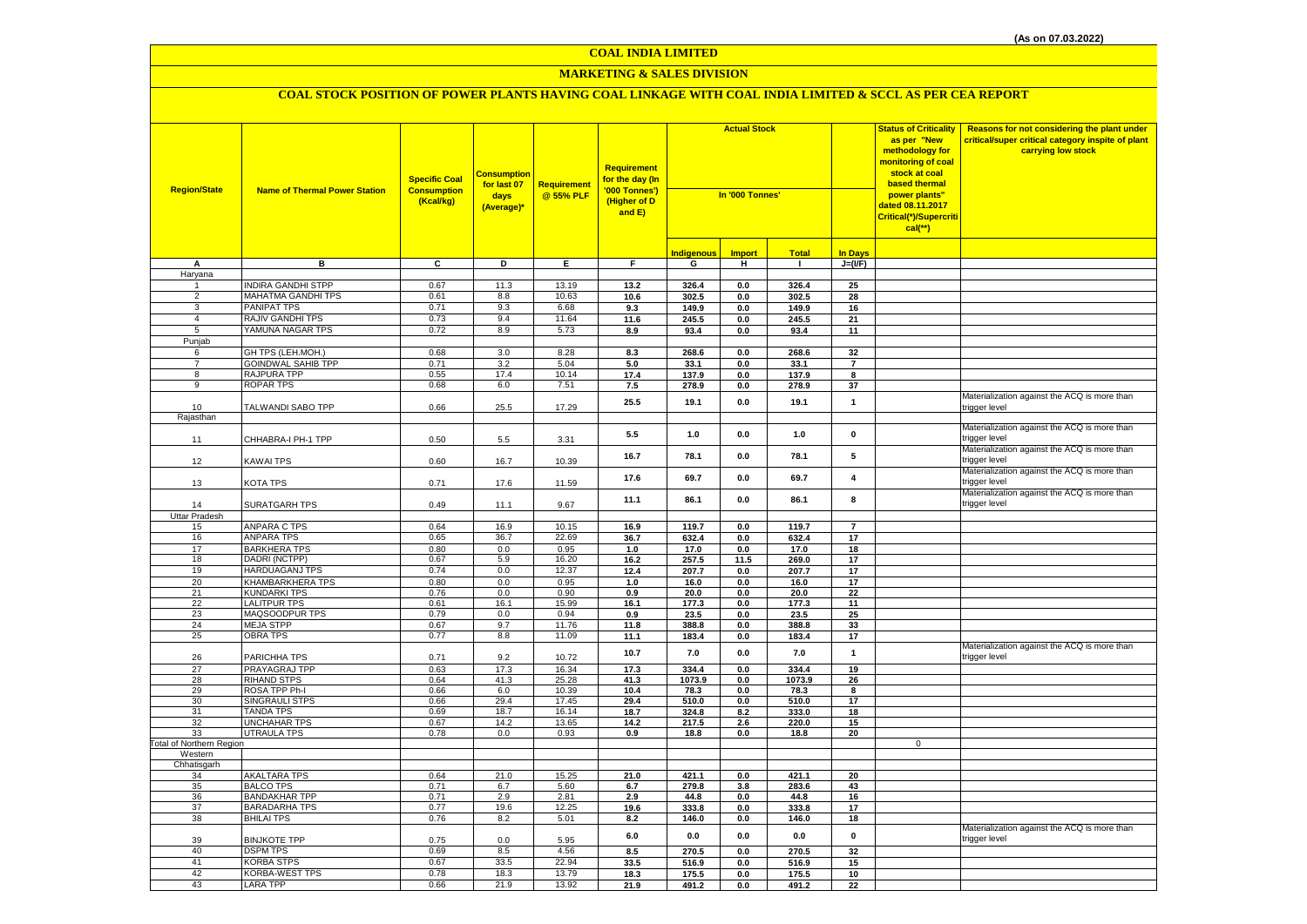## **MARKETING & SALES DIVISION**

| <b>Region/State</b>             | <b>Name of Thermal Power Station</b>         | <b>Specific Coal</b><br><b>Consumption</b><br>(Kcal/kg) | <mark>Consumption</mark><br>for last 07<br>days<br>(Average)* | <b>Requirement</b><br>@ 55% PLF | <b>Requirement</b><br>for the day (In<br>'000 Tonnes')<br>(Higher of D<br>and E) | <b>Actual Stock</b><br>In '000 Tonnes' |                |                |                         | <b>Status of Criticality</b><br>as per "New<br>methodology for<br>nonitoring of coal<br>stock at coal<br><b>based thermal</b><br>power plants"<br>dated 08.11.2017<br>Critical(*)/Supercriti<br>$cal(**)$ | Reasons for not considering the plant under<br>critical/super critical category inspite of plant<br>carrying low stock |
|---------------------------------|----------------------------------------------|---------------------------------------------------------|---------------------------------------------------------------|---------------------------------|----------------------------------------------------------------------------------|----------------------------------------|----------------|----------------|-------------------------|-----------------------------------------------------------------------------------------------------------------------------------------------------------------------------------------------------------|------------------------------------------------------------------------------------------------------------------------|
|                                 |                                              |                                                         |                                                               |                                 |                                                                                  | <b>Indigenous</b>                      | <b>Import</b>  | <b>Total</b>   | <b>In Days</b>          |                                                                                                                                                                                                           |                                                                                                                        |
| Α                               | в                                            | C                                                       | D                                                             | E.                              | F.                                                                               | G                                      | н              | $\mathbf{I}$   | $J=(\mathsf{IF})$       |                                                                                                                                                                                                           |                                                                                                                        |
| Haryana                         |                                              |                                                         |                                                               |                                 |                                                                                  |                                        |                |                |                         |                                                                                                                                                                                                           |                                                                                                                        |
|                                 | <b>INDIRA GANDHI STPP</b>                    | 0.67                                                    | 11.3                                                          | 13.19                           | 13.2                                                                             | 326.4                                  | 0.0            | 326.4          | 25                      |                                                                                                                                                                                                           |                                                                                                                        |
| 2                               | <b>MAHATMA GANDHI TPS</b>                    | 0.61                                                    | 8.8                                                           | 10.63                           | 10.6                                                                             | 302.5                                  | 0.0            | 302.5          | 28                      |                                                                                                                                                                                                           |                                                                                                                        |
| 3                               | <b>PANIPAT TPS</b>                           | 0.71                                                    | 9.3                                                           | 6.68                            | 9.3                                                                              | 149.9                                  | 0.0            | 149.9          | 16                      |                                                                                                                                                                                                           |                                                                                                                        |
| $\overline{4}$                  | RAJIV GANDHI TPS                             | 0.73                                                    | 9.4                                                           | 11.64                           | 11.6                                                                             | 245.5                                  | 0.0            | 245.5          | 21                      |                                                                                                                                                                                                           |                                                                                                                        |
| 5                               | YAMUNA NAGAR TPS                             | 0.72                                                    | 8.9                                                           | 5.73                            | 8.9                                                                              | 93.4                                   | 0.0            | 93.4           | 11                      |                                                                                                                                                                                                           |                                                                                                                        |
| Punjab                          |                                              |                                                         |                                                               |                                 |                                                                                  |                                        |                |                |                         |                                                                                                                                                                                                           |                                                                                                                        |
| 6                               | GH TPS (LEH.MOH.)                            | 0.68                                                    | 3.0                                                           | 8.28                            | 8.3                                                                              | 268.6                                  | 0.0            | 268.6          | 32                      |                                                                                                                                                                                                           |                                                                                                                        |
| $\overline{7}$                  | <b>GOINDWAL SAHIB TPP</b>                    | 0.71                                                    | 3.2                                                           | 5.04                            | 5.0                                                                              | 33.1                                   | 0.0            | 33.1           | $\overline{7}$          |                                                                                                                                                                                                           |                                                                                                                        |
| 8                               | RAJPURA TPP                                  | 0.55                                                    | 17.4                                                          | 10.14                           | 17.4                                                                             | 137.9                                  | $0.0\,$        | 137.9          | 8                       |                                                                                                                                                                                                           |                                                                                                                        |
| 9                               | <b>ROPAR TPS</b>                             | 0.68                                                    | 6.0                                                           | 7.51                            | 7.5                                                                              | 278.9                                  | 0.0            | 278.9          | 37                      |                                                                                                                                                                                                           |                                                                                                                        |
| 10                              | TALWANDI SABO TPP                            | 0.66                                                    | 25.5                                                          | 17.29                           | 25.5                                                                             | 19.1                                   | 0.0            | 19.1           | $\mathbf{1}$            |                                                                                                                                                                                                           | Materialization against the ACQ is more than<br>trigger level                                                          |
| Rajasthan                       |                                              |                                                         |                                                               |                                 |                                                                                  |                                        |                |                |                         |                                                                                                                                                                                                           |                                                                                                                        |
| 11                              | CHHABRA-I PH-1 TPP                           | 0.50                                                    | 5.5                                                           | 3.31                            | 5.5                                                                              | 1.0                                    | 0.0            | 1.0            | $\pmb{0}$               |                                                                                                                                                                                                           | Materialization against the ACQ is more than<br>trigger level                                                          |
| 12                              | KAWAI TPS                                    | 0.60                                                    | 16.7                                                          | 10.39                           | 16.7                                                                             | 78.1                                   | 0.0            | 78.1           | 5                       |                                                                                                                                                                                                           | Materialization against the ACQ is more than<br>trigger level                                                          |
| 13                              | KOTA TPS                                     | 0.71                                                    | 17.6                                                          | 11.59                           | 17.6                                                                             | 69.7                                   | 0.0            | 69.7           | $\overline{\mathbf{4}}$ |                                                                                                                                                                                                           | Materialization against the ACQ is more than<br>trigger level                                                          |
| 14                              | SURATGARH TPS                                | 0.49                                                    | 11.1                                                          | 9.67                            | 11.1                                                                             | 86.1                                   | 0.0            | 86.1           | 8                       |                                                                                                                                                                                                           | Materialization against the ACQ is more than<br>trigger level                                                          |
| <b>Uttar Pradesh</b>            |                                              |                                                         |                                                               |                                 |                                                                                  |                                        |                |                |                         |                                                                                                                                                                                                           |                                                                                                                        |
| 15                              | <b>ANPARA C TPS</b>                          | 0.64                                                    | 16.9                                                          | 10.15                           | 16.9                                                                             | 119.7                                  | 0.0            | 119.7          | $\overline{7}$          |                                                                                                                                                                                                           |                                                                                                                        |
| 16                              | <b>ANPARA TPS</b>                            | 0.65                                                    | 36.7                                                          | 22.69                           | 36.7                                                                             | 632.4                                  | 0.0            | 632.4          | 17                      |                                                                                                                                                                                                           |                                                                                                                        |
| 17<br>18                        | <b>BARKHERA TPS</b><br>DADRI (NCTPP)         | 0.80<br>0.67                                            | 0.0                                                           | 0.95<br>16.20                   | 1.0                                                                              | 17.0                                   | 0.0            | 17.0           | 18                      |                                                                                                                                                                                                           |                                                                                                                        |
| 19                              | <b>HARDUAGANJ TPS</b>                        | 0.74                                                    | 5.9<br>0.0                                                    | 12.37                           | 16.2<br>12.4                                                                     | 257.5<br>207.7                         | 11.5           | 269.0<br>207.7 | 17<br>17                |                                                                                                                                                                                                           |                                                                                                                        |
| 20                              | KHAMBARKHERA TPS                             | 0.80                                                    | 0.0                                                           | 0.95                            | 1.0                                                                              | 16.0                                   | $0.0\,$<br>0.0 | 16.0           | 17                      |                                                                                                                                                                                                           |                                                                                                                        |
| 21                              | <b>KUNDARKI TPS</b>                          | 0.76                                                    | 0.0                                                           | 0.90                            | 0.9                                                                              | 20.0                                   | 0.0            | 20.0           | 22                      |                                                                                                                                                                                                           |                                                                                                                        |
| 22                              | <b>LALITPUR TPS</b>                          | 0.61                                                    | 16.1                                                          | 15.99                           | 16.1                                                                             | 177.3                                  | 0.0            | 177.3          | 11                      |                                                                                                                                                                                                           |                                                                                                                        |
| 23                              | MAQSOODPUR TPS                               | 0.79                                                    | 0.0                                                           | 0.94                            | 0.9                                                                              | 23.5                                   | $0.0\,$        | 23.5           | 25                      |                                                                                                                                                                                                           |                                                                                                                        |
| 24                              | <b>MEJA STPP</b>                             | 0.67                                                    | 9.7                                                           | 11.76                           | 11.8                                                                             | 388.8                                  | $0.0\,$        | 388.8          | 33                      |                                                                                                                                                                                                           |                                                                                                                        |
| 25                              | <b>OBRA TPS</b>                              | 0.77                                                    | 8.8                                                           | 11.09                           | 11.1                                                                             | 183.4                                  | 0.0            | 183.4          | 17                      |                                                                                                                                                                                                           |                                                                                                                        |
|                                 |                                              |                                                         |                                                               |                                 | 10.7                                                                             | 7.0                                    | 0.0            | 7.0            | $\mathbf{1}$            |                                                                                                                                                                                                           | Materialization against the ACQ is more than                                                                           |
| 26                              | PARICHHA TPS                                 | 0.71                                                    | 9.2                                                           | 10.72                           |                                                                                  |                                        |                |                |                         |                                                                                                                                                                                                           | trigger level                                                                                                          |
| 27                              | PRAYAGRAJ TPP                                | 0.63                                                    | 17.3                                                          | 16.34                           | 17.3                                                                             | 334.4                                  | 0.0            | 334.4          | 19                      |                                                                                                                                                                                                           |                                                                                                                        |
| 28                              | <b>RIHAND STPS</b>                           | 0.64                                                    | 41.3                                                          | 25.28                           | 41.3                                                                             | 1073.9                                 | 0.0            | 1073.9         | 26                      |                                                                                                                                                                                                           |                                                                                                                        |
| 29<br>30                        | ROSA TPP Ph-I<br><b>SINGRAULI STPS</b>       | 0.66<br>0.66                                            | 6.0<br>29.4                                                   | 10.39<br>17.45                  | 10.4<br>29.4                                                                     | 78.3<br>510.0                          | 0.0<br>0.0     | 78.3<br>510.0  | 8<br>17                 |                                                                                                                                                                                                           |                                                                                                                        |
| 31                              | <b>TANDA TPS</b>                             | 0.69                                                    | 18.7                                                          | 16.14                           | 18.7                                                                             | 324.8                                  | 8.2            | 333.0          | 18                      |                                                                                                                                                                                                           |                                                                                                                        |
| 32                              | <b>UNCHAHAR TPS</b>                          | 0.67                                                    | 14.2                                                          | 13.65                           | 14.2                                                                             | 217.5                                  | 2.6            | 220.0          | 15                      |                                                                                                                                                                                                           |                                                                                                                        |
| 33                              | <b>UTRAULA TPS</b>                           | 0.78                                                    | 0.0                                                           | 0.93                            | 0.9                                                                              | 18.8                                   | 0.0            | 18.8           | 20                      |                                                                                                                                                                                                           |                                                                                                                        |
| <b>Total of Northern Region</b> |                                              |                                                         |                                                               |                                 |                                                                                  |                                        |                |                |                         | $\mathbf 0$                                                                                                                                                                                               |                                                                                                                        |
| Western                         |                                              |                                                         |                                                               |                                 |                                                                                  |                                        |                |                |                         |                                                                                                                                                                                                           |                                                                                                                        |
| Chhatisgarh                     |                                              |                                                         |                                                               |                                 |                                                                                  |                                        |                |                |                         |                                                                                                                                                                                                           |                                                                                                                        |
| 34                              | <b>AKALTARA TPS</b>                          | 0.64                                                    | 21.0                                                          | 15.25                           | 21.0                                                                             | 421.1                                  | 0.0            | 421.1          | 20                      |                                                                                                                                                                                                           |                                                                                                                        |
| 35                              | <b>BALCO TPS</b>                             | 0.71                                                    | 6.7                                                           | 5.60                            | 6.7                                                                              | 279.8                                  | 3.8            | 283.6          | 43                      |                                                                                                                                                                                                           |                                                                                                                        |
| 36<br>37                        | <b>BANDAKHAR TPP</b><br><b>BARADARHA TPS</b> | 0.71<br>0.77                                            | 2.9<br>19.6                                                   | 2.81<br>12.25                   | 2.9                                                                              | 44.8<br>333.8                          | 0.0            | 44.8           | 16                      |                                                                                                                                                                                                           |                                                                                                                        |
| 38                              | <b>BHILAI TPS</b>                            | 0.76                                                    | 8.2                                                           | 5.01                            | 19.6<br>8.2                                                                      | 146.0                                  | 0.0<br>0.0     | 333.8<br>146.0 | 17<br>18                |                                                                                                                                                                                                           |                                                                                                                        |
|                                 |                                              |                                                         |                                                               |                                 |                                                                                  | 0.0                                    | 0.0            |                | $\pmb{0}$               |                                                                                                                                                                                                           | Materialization against the ACQ is more than                                                                           |
| 39                              | <b>BINJKOTE TPP</b>                          | 0.75                                                    | 0.0                                                           | 5.95                            | 6.0                                                                              |                                        |                | 0.0            |                         |                                                                                                                                                                                                           | trigger level                                                                                                          |
| 40                              | <b>DSPM TPS</b>                              | 0.69                                                    | 8.5                                                           | 4.56                            | 8.5                                                                              | 270.5                                  | 0.0            | 270.5          | 32                      |                                                                                                                                                                                                           |                                                                                                                        |
| 41<br>42                        | <b>KORBA STPS</b>                            | 0.67                                                    | 33.5                                                          | 22.94                           | 33.5                                                                             | 516.9                                  | 0.0            | 516.9          | 15                      |                                                                                                                                                                                                           |                                                                                                                        |
|                                 | <b>KORBA-WEST TPS</b>                        | 0.78<br>0.66                                            | 18.3                                                          | 13.79<br>13.92                  | 18.3                                                                             | 175.5                                  | 0.0            | 175.5          | 10                      |                                                                                                                                                                                                           |                                                                                                                        |
| 43                              | <b>LARA TPP</b>                              |                                                         | 21.9                                                          |                                 | 21.9                                                                             | 491.2                                  | 0.0            | 491.2          | 22                      |                                                                                                                                                                                                           |                                                                                                                        |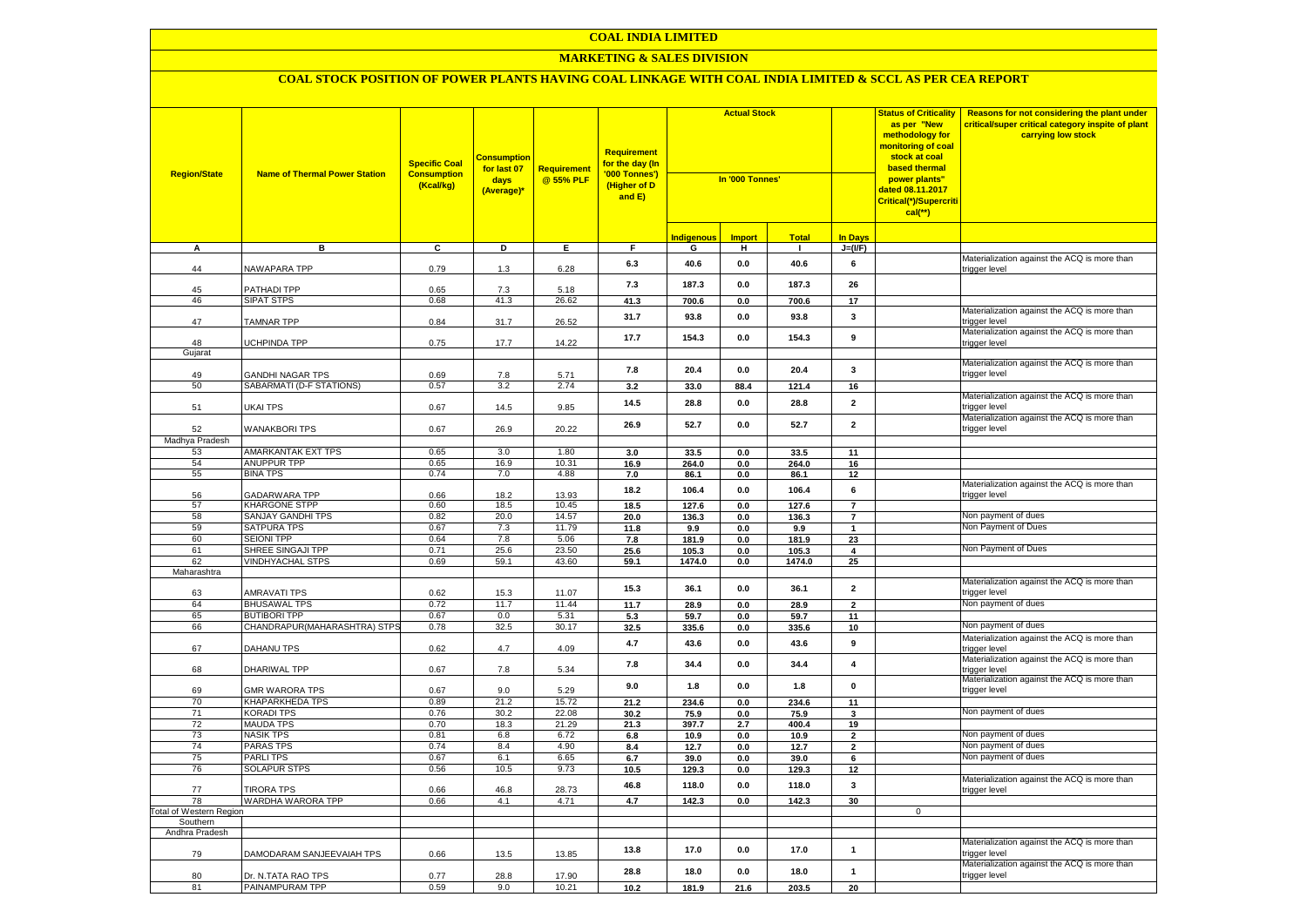#### **COAL INDIA LIMITED**

#### **MARKETING & SALES DIVISION**

| <b>Region/State</b>            | <b>Name of Thermal Power Station</b>                | <b>Specific Coal</b><br><b>Consumption</b><br>(Kcal/kg) | Consumption<br>for last 07<br>days<br>(Average)* | Requirement<br>@ 55% PLF | <b>Requirement</b><br>for the day (In<br>'000 Tonnes')<br>(Higher of D<br>and E) | <b>Actual Stock</b><br>In '000 Tonnes' |                 |               | <b>Status of Criticality</b><br>as per "New<br>methodology for<br><mark>monitoring of coal</mark><br>stock at coal<br>based thermal<br>power plants"<br>dated 08.11.2017<br>Critical(*)/Supercriti<br>$cal$ (**) | Reasons for not considering the plant under<br>critical/super critical category inspite of plant<br>carrying low stock |                                                                                                               |
|--------------------------------|-----------------------------------------------------|---------------------------------------------------------|--------------------------------------------------|--------------------------|----------------------------------------------------------------------------------|----------------------------------------|-----------------|---------------|------------------------------------------------------------------------------------------------------------------------------------------------------------------------------------------------------------------|------------------------------------------------------------------------------------------------------------------------|---------------------------------------------------------------------------------------------------------------|
|                                |                                                     |                                                         |                                                  |                          |                                                                                  | <b>Indigenou</b>                       | <b>Import</b>   | <b>Total</b>  | <b>In Days</b>                                                                                                                                                                                                   |                                                                                                                        |                                                                                                               |
| A                              | в                                                   | C                                                       | D                                                | Е.                       | F.                                                                               | G                                      | н.              | $\mathbf{I}$  | $J=(VF)$                                                                                                                                                                                                         |                                                                                                                        |                                                                                                               |
| 44                             | NAWAPARA TPP                                        | 0.79                                                    | 1.3                                              | 6.28                     | 6.3                                                                              | 40.6                                   | 0.0             | 40.6          | 6                                                                                                                                                                                                                |                                                                                                                        | Materialization against the ACQ is more than<br>trigger level                                                 |
| 45                             | PATHADI TPP                                         | 0.65                                                    | 7.3                                              | 5.18                     | 7.3                                                                              | 187.3                                  | 0.0             | 187.3         | 26                                                                                                                                                                                                               |                                                                                                                        |                                                                                                               |
| 46                             | <b>SIPAT STPS</b>                                   | 0.68                                                    | 41.3                                             | 26.62                    | 41.3                                                                             | 700.6                                  | 0.0             | 700.6         | 17                                                                                                                                                                                                               |                                                                                                                        |                                                                                                               |
| 47                             | <b>TAMNAR TPP</b>                                   | 0.84                                                    | 31.7                                             | 26.52                    | 31.7                                                                             | 93.8                                   | 0.0             | 93.8          | $\mathbf{3}$                                                                                                                                                                                                     |                                                                                                                        | Materialization against the ACQ is more than<br>trigger level<br>Materialization against the ACQ is more than |
| 48<br>Gujarat                  | UCHPINDA TPP                                        | 0.75                                                    | 17.7                                             | 14.22                    | 17.7                                                                             | 154.3                                  | 0.0             | 154.3         | 9                                                                                                                                                                                                                |                                                                                                                        | trigger level                                                                                                 |
|                                |                                                     |                                                         |                                                  |                          |                                                                                  |                                        |                 |               |                                                                                                                                                                                                                  |                                                                                                                        | Materialization against the ACQ is more than                                                                  |
| 49<br>50                       | <b>GANDHI NAGAR TPS</b><br>SABARMATI (D-F STATIONS) | 0.69<br>0.57                                            | 7.8<br>3.2                                       | 5.71<br>2.74             | 7.8<br>3.2                                                                       | 20.4<br>33.0                           | $0.0\,$<br>88.4 | 20.4<br>121.4 | $\mathbf{3}$<br>16                                                                                                                                                                                               |                                                                                                                        | trigger level                                                                                                 |
|                                |                                                     |                                                         |                                                  |                          |                                                                                  |                                        |                 |               |                                                                                                                                                                                                                  |                                                                                                                        | Materialization against the ACQ is more than                                                                  |
| 51                             | UKAI TPS                                            | 0.67                                                    | 14.5                                             | 9.85                     | 14.5                                                                             | 28.8                                   | 0.0             | 28.8          | $\overline{2}$                                                                                                                                                                                                   |                                                                                                                        | trigger level<br>Materialization against the ACQ is more than                                                 |
| 52                             | <b>WANAKBORI TPS</b>                                | 0.67                                                    | 26.9                                             | 20.22                    | 26.9                                                                             | 52.7                                   | 0.0             | 52.7          | $\overline{\mathbf{2}}$                                                                                                                                                                                          |                                                                                                                        | trigger level                                                                                                 |
| Madhya Pradesh<br>53           | <b>AMARKANTAK EXT TPS</b>                           | 0.65                                                    | 3.0                                              | 1.80                     | 3.0                                                                              | 33.5                                   | 0.0             | 33.5          | 11                                                                                                                                                                                                               |                                                                                                                        |                                                                                                               |
| 54                             | ANUPPUR TPP                                         | 0.65                                                    | 16.9                                             | 10.31                    | 16.9                                                                             | 264.0                                  | 0.0             | 264.0         | 16                                                                                                                                                                                                               |                                                                                                                        |                                                                                                               |
| 55                             | <b>BINA TPS</b>                                     | 0.74                                                    | 7.0                                              | 4.88                     | 7.0                                                                              | 86.1                                   | 0.0             | 86.1          | 12                                                                                                                                                                                                               |                                                                                                                        |                                                                                                               |
| 56                             | <b>GADARWARA TPP</b>                                | 0.66                                                    | 18.2                                             | 13.93                    | 18.2                                                                             | 106.4                                  | 0.0             | 106.4         | 6                                                                                                                                                                                                                |                                                                                                                        | Materialization against the ACQ is more than<br>trigger level                                                 |
| 57                             | <b>KHARGONE STPP</b>                                | 0.60                                                    | 18.5                                             | 10.45                    | 18.5                                                                             | 127.6                                  | 0.0             | 127.6         | $\overline{7}$                                                                                                                                                                                                   |                                                                                                                        |                                                                                                               |
| 58                             | <b>SANJAY GANDHI TPS</b>                            | 0.82                                                    | 20.0                                             | 14.57                    | 20.0                                                                             | 136.3                                  | 0.0             | 136.3         | $\overline{7}$                                                                                                                                                                                                   |                                                                                                                        | Non payment of dues                                                                                           |
| 59                             | <b>SATPURA TPS</b>                                  | 0.67                                                    | 7.3                                              | 11.79                    | 11.8                                                                             | 9.9                                    | 0.0             | 9.9           | $\mathbf{1}$                                                                                                                                                                                                     |                                                                                                                        | Non Payment of Dues                                                                                           |
| 60                             | <b>SEIONI TPP</b>                                   | 0.64                                                    | 7.8                                              | 5.06                     | 7.8                                                                              | 181.9                                  | $0.0\,$         | 181.9         | 23                                                                                                                                                                                                               |                                                                                                                        |                                                                                                               |
| 61                             | SHREE SINGAJI TPP                                   | 0.71                                                    | 25.6                                             | 23.50                    | 25.6                                                                             | 105.3                                  | 0.0             | 105.3         | 4                                                                                                                                                                                                                |                                                                                                                        | Non Payment of Dues                                                                                           |
| 62                             | <b>VINDHYACHAL STPS</b>                             | 0.69                                                    | 59.1                                             | 43.60                    | 59.1                                                                             | 1474.0                                 | 0.0             | 1474.0        | 25                                                                                                                                                                                                               |                                                                                                                        |                                                                                                               |
| Maharashtra<br>63              | <b>AMRAVATI TPS</b>                                 | 0.62                                                    | 15.3                                             | 11.07                    | 15.3                                                                             | 36.1                                   | 0.0             | 36.1          | $\overline{2}$                                                                                                                                                                                                   |                                                                                                                        | Materialization against the ACQ is more than<br>trigger level                                                 |
| 64                             | <b>BHUSAWAL TPS</b>                                 | 0.72                                                    | 11.7                                             | 11.44                    | 11.7                                                                             | 28.9                                   | 0.0             | 28.9          | $\overline{2}$                                                                                                                                                                                                   |                                                                                                                        | Non payment of dues                                                                                           |
| 65                             | <b>BUTIBORI TPP</b>                                 | 0.67                                                    | 0.0                                              | 5.31                     | 5.3                                                                              | 59.7                                   | 0.0             | 59.7          | 11                                                                                                                                                                                                               |                                                                                                                        |                                                                                                               |
| 66                             | CHANDRAPUR(MAHARASHTRA) STPS                        | 0.78                                                    | 32.5                                             | 30.17                    | 32.5                                                                             | 335.6                                  | 0.0             | 335.6         | 10                                                                                                                                                                                                               |                                                                                                                        | Non payment of dues                                                                                           |
| 67                             | DAHANU TPS                                          | 0.62                                                    | 4.7                                              | 4.09                     | 4.7                                                                              | 43.6                                   | $0.0\,$         | 43.6          | 9                                                                                                                                                                                                                |                                                                                                                        | Materialization against the ACQ is more than<br>trigger level                                                 |
| 68                             | DHARIWAL TPP                                        | 0.67                                                    | 7.8                                              | 5.34                     | 7.8                                                                              | 34.4                                   | 0.0             | 34.4          | $\boldsymbol{4}$                                                                                                                                                                                                 |                                                                                                                        | Materialization against the ACQ is more than<br>trigger level                                                 |
| 69                             | <b>GMR WARORA TPS</b>                               | 0.67                                                    | 9.0                                              | 5.29                     | 9.0                                                                              | 1.8                                    | $0.0\,$         | 1.8           | $\pmb{0}$                                                                                                                                                                                                        |                                                                                                                        | Materialization against the ACQ is more than<br>trigger level                                                 |
| 70                             | <b>KHAPARKHEDA TPS</b>                              | 0.89                                                    | 21.2                                             | 15.72                    | 21.2                                                                             | 234.6                                  | 0.0             | 234.6         | 11                                                                                                                                                                                                               |                                                                                                                        |                                                                                                               |
| 71                             | <b>KORADI TPS</b>                                   | 0.76                                                    | 30.2                                             | 22.08                    | 30.2                                                                             | 75.9                                   | 0.0             | 75.9          | 3                                                                                                                                                                                                                |                                                                                                                        | Non payment of dues                                                                                           |
| 72                             | <b>MAUDA TPS</b>                                    | 0.70                                                    | 18.3                                             | 21.29                    | 21.3                                                                             | 397.7                                  | 2.7             | 400.4         | 19                                                                                                                                                                                                               |                                                                                                                        |                                                                                                               |
| 73<br>74                       | <b>NASIK TPS</b><br><b>PARAS TPS</b>                | 0.81<br>0.74                                            | 6.8<br>8.4                                       | 6.72<br>4.90             | $\bf6.8$                                                                         | 10.9<br>12.7                           | 0.0             | 10.9<br>12.7  | $\overline{2}$                                                                                                                                                                                                   |                                                                                                                        | Non payment of dues<br>Non payment of dues                                                                    |
| 75                             | <b>PARLITPS</b>                                     | 0.67                                                    | 6.1                                              | 6.65                     | 8.4<br>6.7                                                                       | 39.0                                   | 0.0<br>0.0      | 39.0          | $\overline{2}$<br>6                                                                                                                                                                                              |                                                                                                                        | Non payment of dues                                                                                           |
| 76                             | <b>SOLAPUR STPS</b>                                 | 0.56                                                    | 10.5                                             | 9.73                     | 10.5                                                                             | 129.3                                  | 0.0             | 129.3         | 12                                                                                                                                                                                                               |                                                                                                                        |                                                                                                               |
| 77                             | <b>TIRORA TPS</b>                                   | 0.66                                                    | 46.8                                             | 28.73                    | 46.8                                                                             | 118.0                                  | 0.0             | 118.0         | $\mathbf{3}$                                                                                                                                                                                                     |                                                                                                                        | Materialization against the ACQ is more than<br>trigger level                                                 |
| 78                             | WARDHA WARORA TPP                                   | 0.66                                                    | 4.1                                              | 4.71                     | 4.7                                                                              | 142.3                                  | 0.0             | 142.3         | 30                                                                                                                                                                                                               |                                                                                                                        |                                                                                                               |
| <b>Total of Western Region</b> |                                                     |                                                         |                                                  |                          |                                                                                  |                                        |                 |               |                                                                                                                                                                                                                  | $\overline{0}$                                                                                                         |                                                                                                               |
| Southern                       |                                                     |                                                         |                                                  |                          |                                                                                  |                                        |                 |               |                                                                                                                                                                                                                  |                                                                                                                        |                                                                                                               |
| Andhra Pradesh                 |                                                     |                                                         |                                                  |                          |                                                                                  |                                        |                 |               |                                                                                                                                                                                                                  |                                                                                                                        |                                                                                                               |
| 79                             | DAMODARAM SANJEEVAIAH TPS                           | 0.66                                                    | 13.5                                             | 13.85                    | 13.8                                                                             | 17.0                                   | 0.0             | 17.0          | $\mathbf{1}$                                                                                                                                                                                                     |                                                                                                                        | Materialization against the ACQ is more than<br>rigger level                                                  |
| 80                             | Dr. N.TATA RAO TPS                                  | 0.77                                                    | 28.8                                             | 17.90                    | 28.8                                                                             | 18.0                                   | 0.0             | 18.0          | $\overline{1}$                                                                                                                                                                                                   |                                                                                                                        | Materialization against the ACQ is more than<br>trigger level                                                 |
| 81                             | PAINAMPURAM TPP                                     | 0.59                                                    | 9.0                                              | 10.21                    | 10.2                                                                             | 181.9                                  | 21.6            | 203.5         | 20                                                                                                                                                                                                               |                                                                                                                        |                                                                                                               |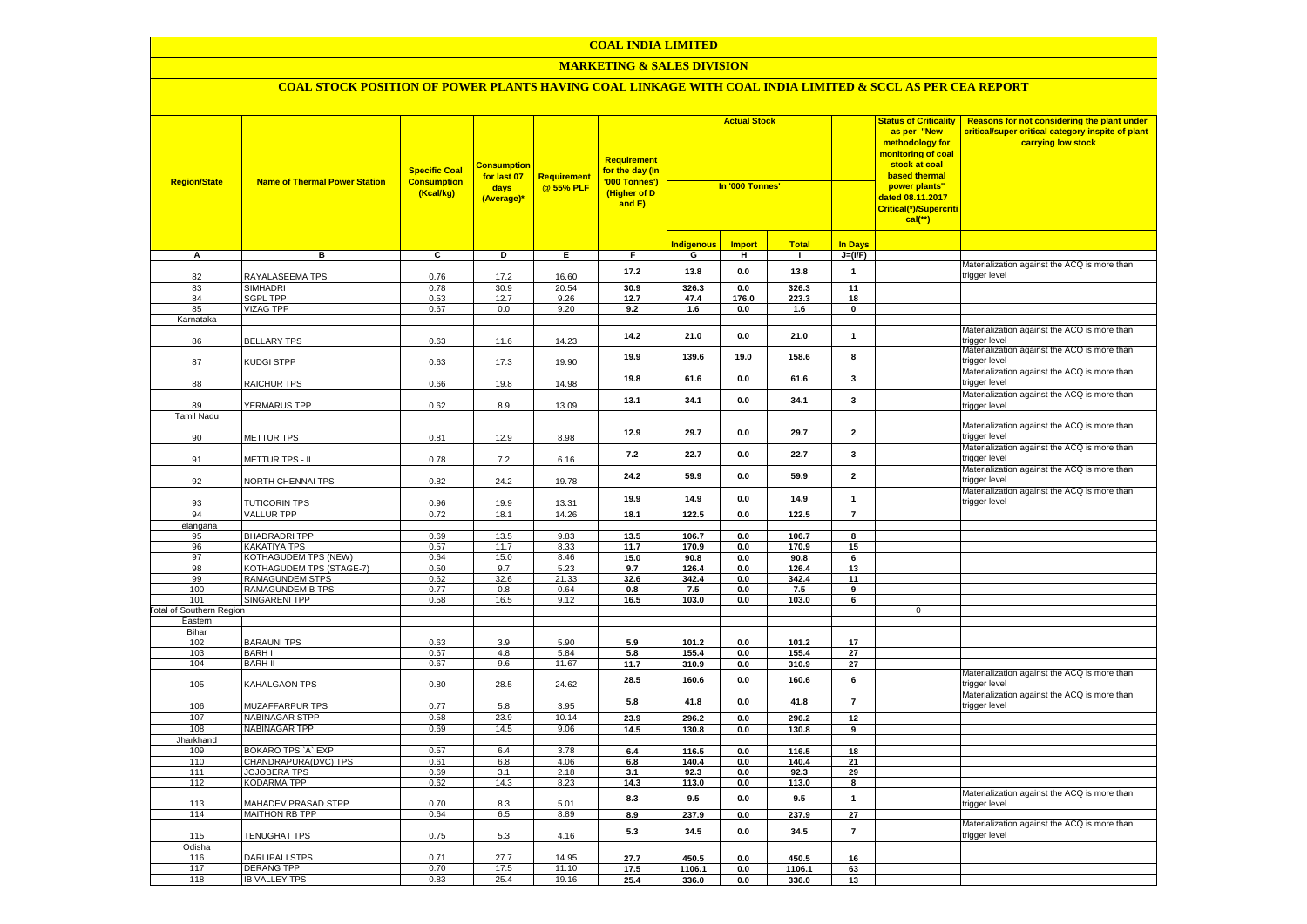#### **COAL INDIA LIMITED**

## **MARKETING & SALES DIVISION**

| <b>Region/State</b>             | <b>Name of Thermal Power Station</b>               | <b>Specific Coal</b><br><b>Consumption</b><br>(Kcal/kg) | <mark>Consumption</mark><br>for last 07<br>days<br>(Average)* | <b>Requirement</b><br>@ 55% PLF | <b>Requirement</b><br>for the day (In<br>'000 Tonnes')<br>(Higher of D<br>and E) | <b>Actual Stock</b><br>In '000 Tonnes' |               |                |                         | <b>Status of Criticality</b><br>as per "New<br>methodology for<br>monitoring of coal<br>stock at coal<br><b>based thermal</b><br>power plants"<br>dated 08.11.2017<br>Critical(*)/Supercriti<br>$cal$ (**) | Reasons for not considering the plant under<br>critical/super critical category inspite of plant<br>carrying low stock |
|---------------------------------|----------------------------------------------------|---------------------------------------------------------|---------------------------------------------------------------|---------------------------------|----------------------------------------------------------------------------------|----------------------------------------|---------------|----------------|-------------------------|------------------------------------------------------------------------------------------------------------------------------------------------------------------------------------------------------------|------------------------------------------------------------------------------------------------------------------------|
|                                 |                                                    |                                                         |                                                               |                                 |                                                                                  | <b>Indigenous</b>                      | <b>Import</b> | <b>Total</b>   | In Days                 |                                                                                                                                                                                                            |                                                                                                                        |
| А                               | в                                                  | $\overline{c}$                                          | D                                                             | Е.                              | F.                                                                               | G                                      | н             | $\mathbf{I}$   | $J=(\mathsf{IF})$       |                                                                                                                                                                                                            |                                                                                                                        |
| 82                              | RAYALASEEMA TPS                                    | 0.76                                                    | 17.2                                                          | 16.60                           | 17.2                                                                             | 13.8                                   | $0.0\,$       | 13.8           | $\mathbf{1}$            |                                                                                                                                                                                                            | Materialization against the ACQ is more than<br>trigger level                                                          |
| 83                              | <b>SIMHADRI</b>                                    | 0.78                                                    | 30.9                                                          | 20.54                           | 30.9                                                                             | 326.3                                  | 0.0           | 326.3          | 11                      |                                                                                                                                                                                                            |                                                                                                                        |
| 84                              | <b>SGPL TPP</b>                                    | 0.53                                                    | 12.7                                                          | 9.26                            | 12.7                                                                             | 47.4                                   | 176.0         | 223.3          | 18                      |                                                                                                                                                                                                            |                                                                                                                        |
| 85                              | <b>VIZAG TPP</b>                                   | 0.67                                                    | 0.0                                                           | 9.20                            | 9.2                                                                              | 1.6                                    | 0.0           | 1.6            | $\mathbf 0$             |                                                                                                                                                                                                            |                                                                                                                        |
| Karnataka                       |                                                    |                                                         |                                                               |                                 |                                                                                  |                                        |               |                |                         |                                                                                                                                                                                                            |                                                                                                                        |
| 86                              | <b>BELLARY TPS</b>                                 | 0.63                                                    | 11.6                                                          | 14.23                           | 14.2                                                                             | 21.0                                   | $0.0\,$       | 21.0           | $\mathbf{1}$            |                                                                                                                                                                                                            | Materialization against the ACQ is more than<br>rigger level                                                           |
| 87                              | <b>KUDGI STPP</b>                                  | 0.63                                                    | 17.3                                                          | 19.90                           | 19.9                                                                             | 139.6                                  | 19.0          | 158.6          | 8                       |                                                                                                                                                                                                            | Materialization against the ACQ is more than<br>trigger level                                                          |
| 88                              | <b>RAICHUR TPS</b>                                 | 0.66                                                    | 19.8                                                          | 14.98                           | 19.8                                                                             | 61.6                                   | 0.0           | 61.6           | 3                       |                                                                                                                                                                                                            | Materialization against the ACQ is more than<br>trigger level                                                          |
| 89                              | YERMARUS TPP                                       | 0.62                                                    | 8.9                                                           | 13.09                           | 13.1                                                                             | 34.1                                   | 0.0           | 34.1           | 3                       |                                                                                                                                                                                                            | Materialization against the ACQ is more than<br>trigger level                                                          |
| <b>Tamil Nadu</b>               |                                                    |                                                         |                                                               |                                 |                                                                                  |                                        |               |                |                         |                                                                                                                                                                                                            |                                                                                                                        |
| 90                              | METTUR TPS                                         | 0.81                                                    | 12.9                                                          | 8.98                            | 12.9                                                                             | 29.7                                   | 0.0           | 29.7           | $\mathbf{2}$            |                                                                                                                                                                                                            | Materialization against the ACQ is more than<br>trigger level                                                          |
| 91                              | METTUR TPS - II                                    | 0.78                                                    | 7.2                                                           | 6.16                            | 7.2                                                                              | 22.7                                   | 0.0           | 22.7           | $\overline{\mathbf{3}}$ |                                                                                                                                                                                                            | Materialization against the ACQ is more than<br>trigger level                                                          |
| 92                              | NORTH CHENNAI TPS                                  | 0.82                                                    | 24.2                                                          | 19.78                           | 24.2                                                                             | 59.9                                   | 0.0           | 59.9           | $\mathbf{2}$            |                                                                                                                                                                                                            | Materialization against the ACQ is more than<br>trigger level                                                          |
| 93                              | <b>TUTICORIN TPS</b>                               | 0.96                                                    | 19.9                                                          | 13.31                           | 19.9                                                                             | 14.9                                   | 0.0           | 14.9           | $\mathbf{1}$            |                                                                                                                                                                                                            | Materialization against the ACQ is more than<br>trigger level                                                          |
| 94                              | <b>VALLUR TPP</b>                                  | 0.72                                                    | 18.1                                                          | 14.26                           | 18.1                                                                             | 122.5                                  | 0.0           | 122.5          | $\overline{7}$          |                                                                                                                                                                                                            |                                                                                                                        |
| Telangana                       |                                                    |                                                         |                                                               |                                 |                                                                                  |                                        |               |                |                         |                                                                                                                                                                                                            |                                                                                                                        |
| 95                              | <b>BHADRADRITPP</b>                                | 0.69                                                    | 13.5                                                          | 9.83                            | 13.5                                                                             | 106.7                                  | $0.0\,$       | 106.7          | $\overline{\mathbf{8}}$ |                                                                                                                                                                                                            |                                                                                                                        |
| 96                              | <b>KAKATIYA TPS</b>                                | 0.57                                                    | 11.7                                                          | 8.33                            | 11.7                                                                             | 170.9                                  | 0.0           | 170.9          | 15                      |                                                                                                                                                                                                            |                                                                                                                        |
| 97                              | <b>KOTHAGUDEM TPS (NEW)</b>                        | 0.64                                                    | 15.0                                                          | 8.46                            | 15.0                                                                             | 90.8                                   | 0.0           | 90.8           | 6                       |                                                                                                                                                                                                            |                                                                                                                        |
| 98                              | KOTHAGUDEM TPS (STAGE-7)<br><b>RAMAGUNDEM STPS</b> | 0.50                                                    | 9.7                                                           | 5.23                            | 9.7                                                                              | 126.4                                  | 0.0           | 126.4          | 13                      |                                                                                                                                                                                                            |                                                                                                                        |
| 99<br>100                       | <b>RAMAGUNDEM-B TPS</b>                            | 0.62<br>0.77                                            | 32.6<br>0.8                                                   | 21.33<br>0.64                   | 32.6<br>0.8                                                                      | 342.4<br>7.5                           | 0.0<br>0.0    | 342.4<br>7.5   | 11<br>9                 |                                                                                                                                                                                                            |                                                                                                                        |
| 101                             | <b>SINGARENI TPP</b>                               | 0.58                                                    | 16.5                                                          | 9.12                            | 16.5                                                                             | 103.0                                  | 0.0           | 103.0          | 6                       |                                                                                                                                                                                                            |                                                                                                                        |
| <b>Total of Southern Region</b> |                                                    |                                                         |                                                               |                                 |                                                                                  |                                        |               |                |                         | $\mathsf 0$                                                                                                                                                                                                |                                                                                                                        |
| Eastern                         |                                                    |                                                         |                                                               |                                 |                                                                                  |                                        |               |                |                         |                                                                                                                                                                                                            |                                                                                                                        |
| Bihar                           |                                                    |                                                         |                                                               |                                 |                                                                                  |                                        |               |                |                         |                                                                                                                                                                                                            |                                                                                                                        |
| 102<br>103                      | <b>BARAUNI TPS</b>                                 | 0.63                                                    | 3.9                                                           | 5.90                            | 5.9                                                                              | 101.2                                  | 0.0           | 101.2          | 17                      |                                                                                                                                                                                                            |                                                                                                                        |
| 104                             | <b>BARHI</b><br><b>BARH II</b>                     | 0.67<br>0.67                                            | 4.8<br>9.6                                                    | 5.84<br>11.67                   | 5.8<br>11.7                                                                      | 155.4<br>310.9                         | 0.0<br>0.0    | 155.4<br>310.9 | 27<br>27                |                                                                                                                                                                                                            |                                                                                                                        |
| 105                             | <b>KAHALGAON TPS</b>                               | 0.80                                                    | 28.5                                                          | 24.62                           | 28.5                                                                             | 160.6                                  | 0.0           | 160.6          | 6                       |                                                                                                                                                                                                            | Materialization against the ACQ is more than<br>trigger level                                                          |
| 106                             | MUZAFFARPUR TPS                                    | 0.77                                                    | 5.8                                                           | 3.95                            | 5.8                                                                              | 41.8                                   | 0.0           | 41.8           | $\overline{7}$          |                                                                                                                                                                                                            | Materialization against the ACQ is more than<br>trigger level                                                          |
| 107                             | <b>NABINAGAR STPP</b>                              | 0.58                                                    | 23.9                                                          | 10.14                           | 23.9                                                                             | 296.2                                  | $0.0\,$       | 296.2          | 12                      |                                                                                                                                                                                                            |                                                                                                                        |
| 108                             | <b>NABINAGAR TPP</b>                               | 0.69                                                    | 14.5                                                          | 9.06                            | 14.5                                                                             | 130.8                                  | 0.0           | 130.8          | 9                       |                                                                                                                                                                                                            |                                                                                                                        |
| Jharkhand                       |                                                    |                                                         |                                                               |                                 |                                                                                  |                                        |               |                |                         |                                                                                                                                                                                                            |                                                                                                                        |
| 109                             | BOKARO TPS `A` EXP                                 | 0.57                                                    | 6.4                                                           | 3.78                            | 6.4                                                                              | 116.5                                  | 0.0           | 116.5          | 18                      |                                                                                                                                                                                                            |                                                                                                                        |
| 110                             | CHANDRAPURA(DVC) TPS                               | 0.61                                                    | 6.8                                                           | 4.06                            | $6.8\,$                                                                          | 140.4                                  | $0.0\,$       | 140.4          | 21                      |                                                                                                                                                                                                            |                                                                                                                        |
| 111                             | JOJOBERA TPS                                       | 0.69                                                    | 3.1                                                           | 2.18                            | 3.1                                                                              | 92.3                                   | 0.0           | 92.3           | 29                      |                                                                                                                                                                                                            |                                                                                                                        |
| 112                             | <b>KODARMA TPP</b>                                 | 0.62                                                    | 14.3                                                          | 8.23                            | 14.3                                                                             | 113.0                                  | $0.0\,$       | 113.0          | 8                       |                                                                                                                                                                                                            | Materialization against the ACQ is more than                                                                           |
| 113<br>114                      | MAHADEV PRASAD STPP<br><b>MAITHON RB TPP</b>       | 0.70<br>0.64                                            | 8.3                                                           | 5.01<br>8.89                    | 8.3                                                                              | 9.5<br>237.9                           | 0.0           | 9.5            | $\overline{1}$          |                                                                                                                                                                                                            | trigger level                                                                                                          |
|                                 |                                                    |                                                         | 6.5                                                           |                                 | 8.9                                                                              |                                        | 0.0           | 237.9          | 27                      |                                                                                                                                                                                                            | Materialization against the ACQ is more than                                                                           |
| 115                             | <b>TENUGHAT TPS</b>                                | 0.75                                                    | 5.3                                                           | 4.16                            | 5.3                                                                              | 34.5                                   | 0.0           | 34.5           | $\overline{7}$          |                                                                                                                                                                                                            | trigger level                                                                                                          |
| Odisha<br>116                   | <b>DARLIPALI STPS</b>                              | 0.71                                                    | 27.7                                                          | 14.95                           | 27.7                                                                             | 450.5                                  | 0.0           | 450.5          |                         |                                                                                                                                                                                                            |                                                                                                                        |
| 117                             | <b>DERANG TPP</b>                                  | 0.70                                                    | 17.5                                                          | 11.10                           | 17.5                                                                             | 1106.1                                 | 0.0           | 1106.1         | 16<br>63                |                                                                                                                                                                                                            |                                                                                                                        |
| 118                             | <b>IB VALLEY TPS</b>                               | 0.83                                                    | 25.4                                                          | 19.16                           | 25.4                                                                             | 336.0                                  | 0.0           | 336.0          | 13                      |                                                                                                                                                                                                            |                                                                                                                        |
|                                 |                                                    |                                                         |                                                               |                                 |                                                                                  |                                        |               |                |                         |                                                                                                                                                                                                            |                                                                                                                        |